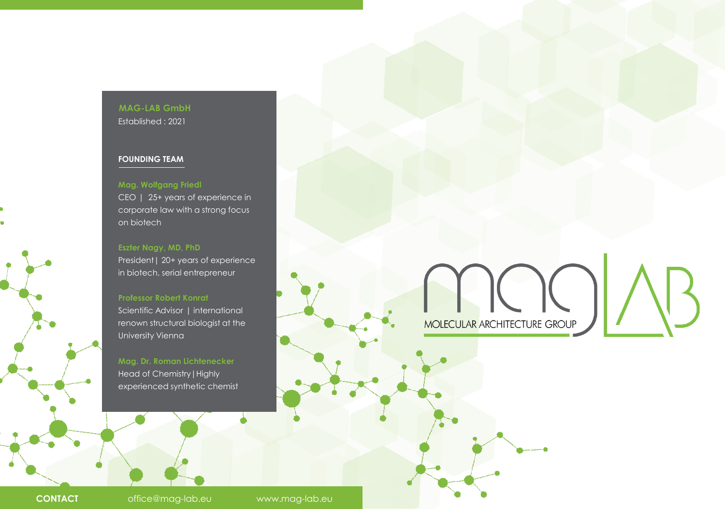# **MAG-LAB GmbH** Established : 2021

### **FOUNDING TEAM**

### **Mag. Wolfgang Friedl**

CEO | 25+ years of experience in corporate law with a strong focus on biotech

#### **Eszter Nagy, MD, PhD**

President | 20+ years of experience in biotech, serial entrepreneur

### **Professor Robert Konrat**

Scientific Advisor | international renown structural biologist at the University Vienna

**Mag. Dr. Roman Lichtenecker** Head of Chemistry|Highly experienced synthetic chemist MOLECULAR ARCHITECTURE GROUP

**CONTACT** office@mag-lab.eu www.mag-lab.eu